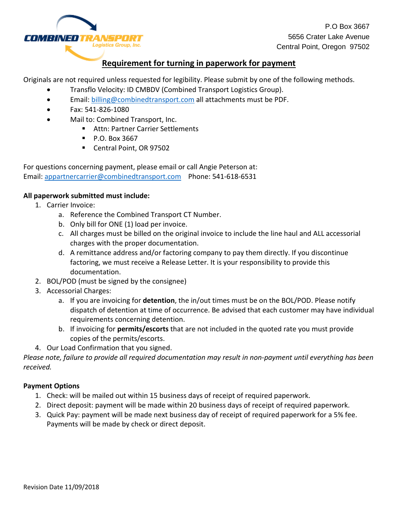

P.O Box 3667 5656 Crater Lake Avenue Central Point, Oregon 97502

## **Requirement for turning in paperwork for payment**

Originals are not required unless requested for legibility. Please submit by one of the following methods.

- Transflo Velocity: ID CMBDV (Combined Transport Logistics Group).
- Email: [billing@combinedtransport.com](mailto:billing@combinedtransport.com) all attachments must be PDF.
- Fax: 541-826-1080
- Mail to: Combined Transport, Inc.
	- **Attn: Partner Carrier Settlements**
	- $\blacksquare$  P.O. Box 3667
	- Central Point, OR 97502

For questions concerning payment, please email or call Angie Peterson at: Email: [appartnercarrier@combinedtransport.com](mailto:appartnercarrier@combinedtransport.com) Phone: 541-618-6531

### **All paperwork submitted must include:**

- 1. Carrier Invoice:
	- a. Reference the Combined Transport CT Number.
	- b. Only bill for ONE (1) load per invoice.
	- c. All charges must be billed on the original invoice to include the line haul and ALL accessorial charges with the proper documentation.
	- d. A remittance address and/or factoring company to pay them directly. If you discontinue factoring, we must receive a Release Letter. It is your responsibility to provide this documentation.
- 2. BOL/POD (must be signed by the consignee)
- 3. Accessorial Charges:
	- a. If you are invoicing for **detention**, the in/out times must be on the BOL/POD. Please notify dispatch of detention at time of occurrence. Be advised that each customer may have individual requirements concerning detention.
	- b. If invoicing for **permits/escorts** that are not included in the quoted rate you must provide copies of the permits/escorts.
- 4. Our Load Confirmation that you signed.

*Please note, failure to provide all required documentation may result in non-payment until everything has been received.*

### **Payment Options**

- 1. Check: will be mailed out within 15 business days of receipt of required paperwork.
- 2. Direct deposit: payment will be made within 20 business days of receipt of required paperwork.
- 3. Quick Pay: payment will be made next business day of receipt of required paperwork for a 5% fee. Payments will be made by check or direct deposit.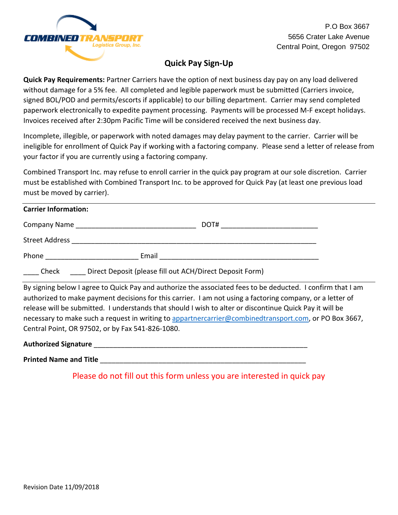

P.O Box 3667 5656 Crater Lake Avenue Central Point, Oregon 97502

# **Quick Pay Sign-Up**

**Quick Pay Requirements:** Partner Carriers have the option of next business day pay on any load delivered without damage for a 5% fee. All completed and legible paperwork must be submitted (Carriers invoice, signed BOL/POD and permits/escorts if applicable) to our billing department. Carrier may send completed paperwork electronically to expedite payment processing. Payments will be processed M-F except holidays. Invoices received after 2:30pm Pacific Time will be considered received the next business day.

Incomplete, illegible, or paperwork with noted damages may delay payment to the carrier. Carrier will be ineligible for enrollment of Quick Pay if working with a factoring company. Please send a letter of release from your factor if you are currently using a factoring company.

Combined Transport Inc. may refuse to enroll carrier in the quick pay program at our sole discretion. Carrier must be established with Combined Transport Inc. to be approved for Quick Pay (at least one previous load must be moved by carrier).

### **Carrier Information:**

| Company Name          |       | DOT# |
|-----------------------|-------|------|
| <b>Street Address</b> |       |      |
| Phone                 | Email |      |

\_\_\_\_ Check \_\_\_\_ Direct Deposit (please fill out ACH/Direct Deposit Form)

By signing below I agree to Quick Pay and authorize the associated fees to be deducted. I confirm that I am authorized to make payment decisions for this carrier. I am not using a factoring company, or a letter of release will be submitted. I understands that should I wish to alter or discontinue Quick Pay it will be necessary to make such a request in writing to [appartnercarrier@combinedtransport.com,](mailto:appartnercarrier@combinedtransport.com) or PO Box 3667, Central Point, OR 97502, or by Fax 541-826-1080.

**Authorized Signature** \_\_\_\_\_\_\_\_\_\_\_\_\_\_\_\_\_\_\_\_\_\_\_\_\_\_\_\_\_\_\_\_\_\_\_\_\_\_\_\_\_\_\_\_\_\_\_\_\_\_\_\_\_\_\_

**Printed Name and Title** 

Please do not fill out this form unless you are interested in quick pay